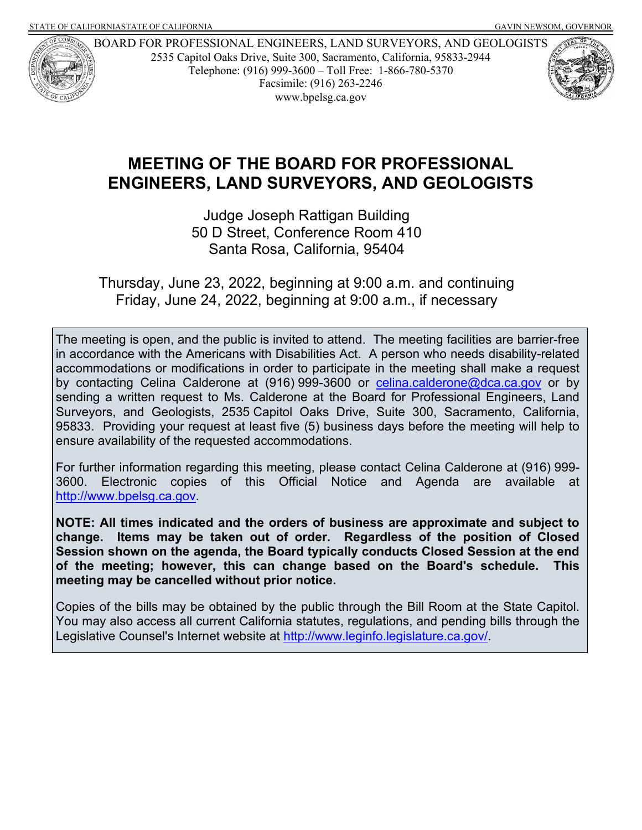

BOARD FOR PROFESSIONAL ENGINEERS, LAND SURVEYORS, AND GEOLOGISTS 2535 Capitol Oaks Drive, Suite 300, Sacramento, California, 95833-2944 Telephone: (916) 999-3600 – Toll Free: 1-866-780-5370 Facsimile: (916) 263-2246 www.bpelsg.ca.gov



# **MEETING OF THE BOARD FOR PROFESSIONAL ENGINEERS, LAND SURVEYORS, AND GEOLOGISTS**

Judge Joseph Rattigan Building 50 D Street, Conference Room 410 Santa Rosa, California, 95404

Thursday, June 23, 2022, beginning at 9:00 a.m. and continuing Friday, June 24, 2022, beginning at 9:00 a.m., if necessary

The meeting is open, and the public is invited to attend. The meeting facilities are barrier-free in accordance with the Americans with Disabilities Act. A person who needs disability-related accommodations or modifications in order to participate in the meeting shall make a request by contacting Celina Calderone at (916) 999-3600 or [celina.calderone@dca.ca.gov](mailto:celina.calderone@dca.ca.gov) or by sending a written request to Ms. Calderone at the Board for Professional Engineers, Land Surveyors, and Geologists, 2535 Capitol Oaks Drive, Suite 300, Sacramento, California, 95833. Providing your request at least five (5) business days before the meeting will help to ensure availability of the requested accommodations.

For further information regarding this meeting, please contact Celina Calderone at (916) 999- 3600. Electronic copies of this Official Notice and Agenda are available at [http://www.bpelsg.ca.gov.](http://www.bpelsg.ca.gov/)

**NOTE: All times indicated and the orders of business are approximate and subject to change. Items may be taken out of order. Regardless of the position of Closed Session shown on the agenda, the Board typically conducts Closed Session at the end of the meeting; however, this can change based on the Board's schedule. This meeting may be cancelled without prior notice.**

Copies of the bills may be obtained by the public through the Bill Room at the State Capitol. You may also access all current California statutes, regulations, and pending bills through the Legislative Counsel's Internet website at [http://www.leginfo.legislature.ca.gov/.](http://www.leginfo.legislature.ca.gov/)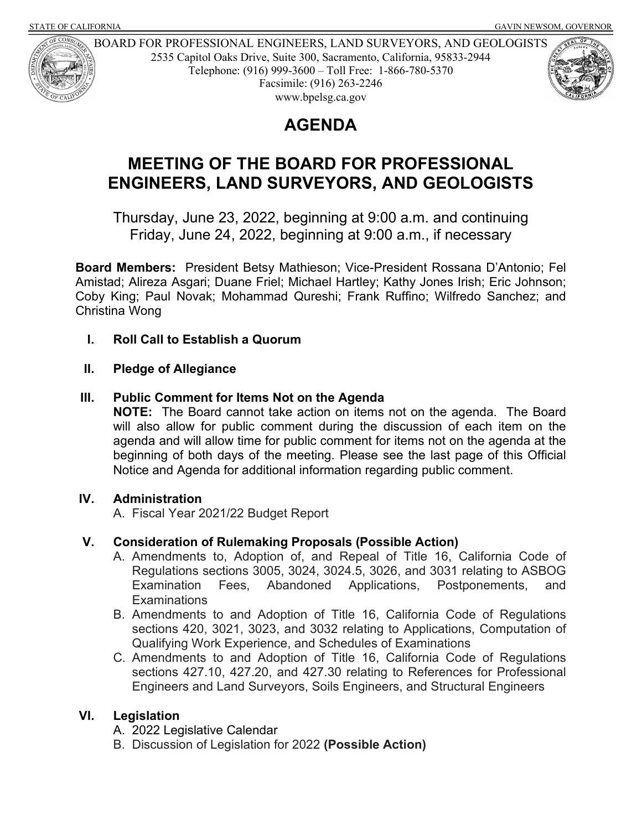

BOARD FOR PROFESSIONAL ENGINEERS, LAND SURVEYORS, AND GEOLOGISTS 2535 Capitol Oaks Drive, Suite 300, Sacramento, California, 95833-2944 Telephone: (916) 999-3600 – Toll Free: 1-866-780-5370 Facsimile: (916) 263-2246 www.bpelsg.ca.gov



## **MEETING OF THE BOARD FOR PROFESSIONAL ENGINEERS, LAND SURVEYORS, AND GEOLOGISTS**

Thursday, June 23, 2022, beginning at 9:00 a.m. and continuing Friday, June 24, 2022, beginning at 9:00 a.m., if necessary

**Board Members:** President Betsy Mathieson; Vice-President Rossana D'Antonio; Fel Amistad; Alireza Asgari; Duane Friel; Michael Hartley; Kathy Jones Irish; Eric Johnson; Coby King; Paul Novak; Mohammad Qureshi; Frank Ruffino; Wilfredo Sanchez; and Christina Wong

**I. Roll Call to Establish a Quorum**

### **II. Pledge of Allegiance**

### **III. Public Comment for Items Not on the Agenda**

**NOTE:** The Board cannot take action on items not on the agenda. The Board will also allow for public comment during the discussion of each item on the agenda and will allow time for public comment for items not on the agenda at the beginning of both days of the meeting. Please see the last page of this Official Notice and Agenda for additional information regarding public comment.

### **IV. Administration**

A. Fiscal Year 2021/22 Budget Report

### **V. Consideration of Rulemaking Proposals (Possible Action)**

- A. Amendments to, Adoption of, and Repeal of Title 16, California Code of Regulations sections 3005, 3024, 3024.5, 3026, and 3031 relating to ASBOG Examination Fees, Abandoned Applications, Postponements, and **Examinations**
- B. Amendments to and Adoption of Title 16, California Code of Regulations sections 420, 3021, 3023, and 3032 relating to Applications, Computation of Qualifying Work Experience, and Schedules of Examinations
- C. Amendments to and Adoption of Title 16, California Code of Regulations sections 427.10, 427.20, and 427.30 relating to References for Professional Engineers and Land Surveyors, Soils Engineers, and Structural Engineers

### **VI. Legislation**

- A. 2022 Legislative Calendar
- B. Discussion of Legislation for 2022 **(Possible Action)**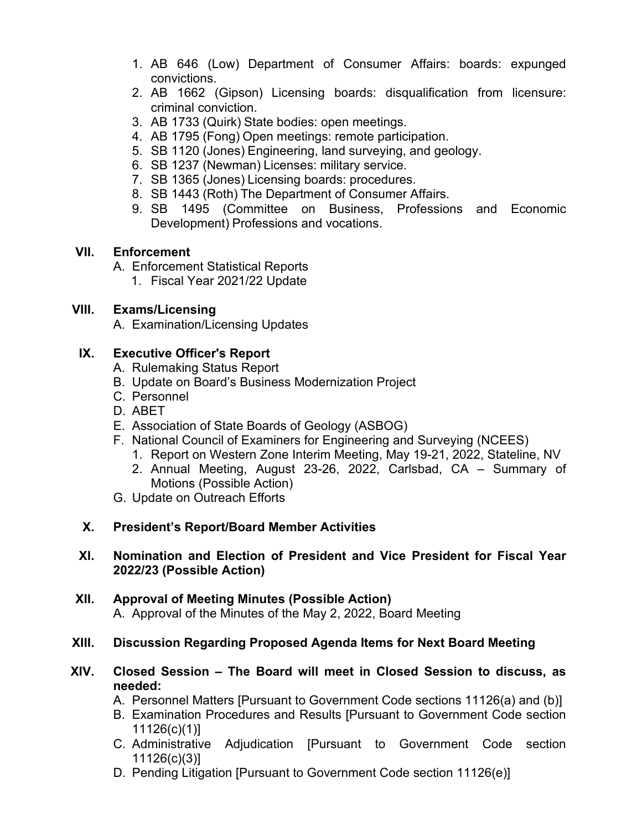- 1. AB 646 (Low) Department of Consumer Affairs: boards: expunged convictions.
- 2. AB 1662 (Gipson) Licensing boards: disqualification from licensure: criminal conviction.
- 3. AB 1733 (Quirk) State bodies: open meetings.
- 4. AB 1795 (Fong) Open meetings: remote participation.
- 5. SB 1120 (Jones) Engineering, land surveying, and geology.
- 6. SB 1237 (Newman) Licenses: military service.
- 7. SB 1365 (Jones) Licensing boards: procedures.
- 8. SB 1443 (Roth) The Department of Consumer Affairs.
- 9. SB 1495 (Committee on Business, Professions and Economic Development) Professions and vocations.

## **VII. Enforcement**

- A. Enforcement Statistical Reports
	- 1. Fiscal Year 2021/22 Update

## **VIII. Exams/Licensing**

A. Examination/Licensing Updates

## **IX. Executive Officer's Report**

- A. Rulemaking Status Report
- B. Update on Board's Business Modernization Project
- C. Personnel
- D. ABET
- E. Association of State Boards of Geology (ASBOG)
- F. National Council of Examiners for Engineering and Surveying (NCEES)
	- 1. Report on Western Zone Interim Meeting, May 19-21, 2022, Stateline, NV
	- 2. Annual Meeting, August 23-26, 2022, Carlsbad, CA Summary of Motions (Possible Action)
- G. Update on Outreach Efforts

## **X. President's Report/Board Member Activities**

#### **XI. Nomination and Election of President and Vice President for Fiscal Year 2022/23 (Possible Action)**

**XII. Approval of Meeting Minutes (Possible Action)** A. Approval of the Minutes of the May 2, 2022, Board Meeting

## **XIII. Discussion Regarding Proposed Agenda Items for Next Board Meeting**

#### **XIV. Closed Session – The Board will meet in Closed Session to discuss, as needed:**

- A. Personnel Matters [Pursuant to Government Code sections 11126(a) and (b)]
- B. Examination Procedures and Results [Pursuant to Government Code section 11126(c)(1)]
- C. Administrative Adjudication [Pursuant to Government Code section 11126(c)(3)]
- D. Pending Litigation [Pursuant to Government Code section 11126(e)]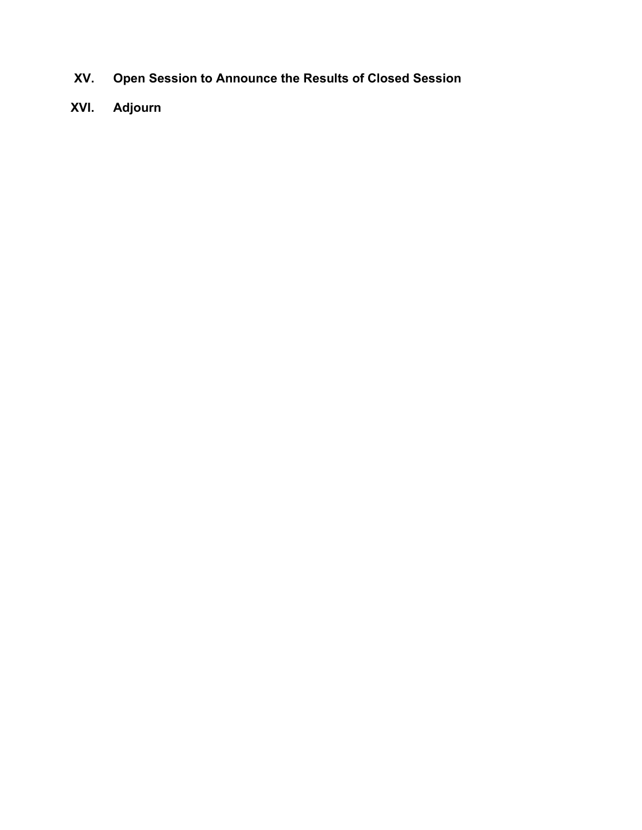- **XV. Open Session to Announce the Results of Closed Session**
- **XVI. Adjourn**